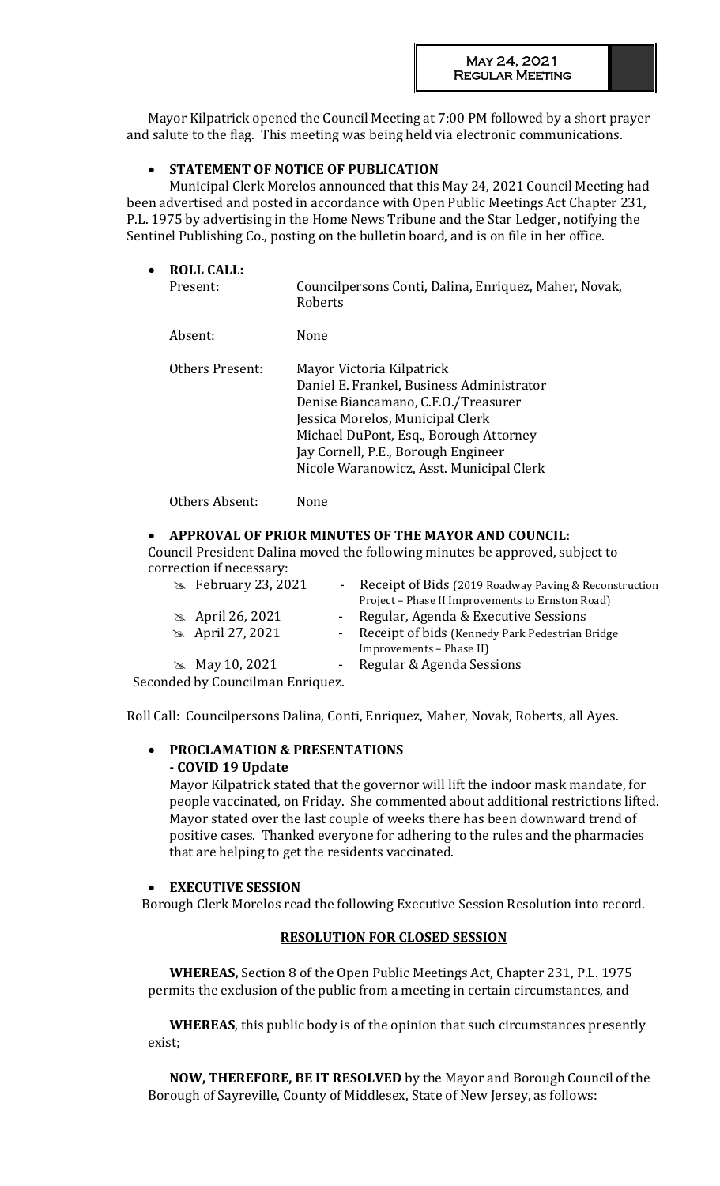Mayor Kilpatrick opened the Council Meeting at 7:00 PM followed by a short prayer and salute to the flag. This meeting was being held via electronic communications.

# **STATEMENT OF NOTICE OF PUBLICATION**

Municipal Clerk Morelos announced that this May 24, 2021 Council Meeting had been advertised and posted in accordance with Open Public Meetings Act Chapter 231, P.L. 1975 by advertising in the Home News Tribune and the Star Ledger, notifying the Sentinel Publishing Co., posting on the bulletin board, and is on file in her office.

| $\bullet$ | <b>ROLL CALL:</b><br>Present: | Councilpersons Conti, Dalina, Enriquez, Maher, Novak,<br>Roberts                                                                                                                                                                                                               |
|-----------|-------------------------------|--------------------------------------------------------------------------------------------------------------------------------------------------------------------------------------------------------------------------------------------------------------------------------|
|           | Absent:                       | None                                                                                                                                                                                                                                                                           |
|           | Others Present:               | Mayor Victoria Kilpatrick<br>Daniel E. Frankel, Business Administrator<br>Denise Biancamano, C.F.O./Treasurer<br>Jessica Morelos, Municipal Clerk<br>Michael DuPont, Esq., Borough Attorney<br>Jay Cornell, P.E., Borough Engineer<br>Nicole Waranowicz, Asst. Municipal Clerk |

Others Absent: None

# **APPROVAL OF PRIOR MINUTES OF THE MAYOR AND COUNCIL:**

Council President Dalina moved the following minutes be approved, subject to correction if necessary:

| $\approx$ February 23, 2021<br>$\sim 100$ | Receipt of Bids (2019 Roadway Paving & Reconstruction<br>Project - Phase II Improvements to Ernston Road) |
|-------------------------------------------|-----------------------------------------------------------------------------------------------------------|
| $\approx$ April 26, 2021                  | - Regular, Agenda & Executive Sessions                                                                    |
| <b>&amp;</b> April 27, 2021               | - Receipt of bids (Kennedy Park Pedestrian Bridge<br>Improvements - Phase II)                             |
| • May 10, 2021                            | - Regular & Agenda Sessions                                                                               |
| Seconded by Councilman Enriquez.          |                                                                                                           |

Roll Call: Councilpersons Dalina, Conti, Enriquez, Maher, Novak, Roberts, all Ayes.

# **PROCLAMATION & PRESENTATIONS - COVID 19 Update**

Mayor Kilpatrick stated that the governor will lift the indoor mask mandate, for people vaccinated, on Friday. She commented about additional restrictions lifted. Mayor stated over the last couple of weeks there has been downward trend of positive cases. Thanked everyone for adhering to the rules and the pharmacies that are helping to get the residents vaccinated.

# **EXECUTIVE SESSION**

Borough Clerk Morelos read the following Executive Session Resolution into record.

# **RESOLUTION FOR CLOSED SESSION**

**WHEREAS,** Section 8 of the Open Public Meetings Act, Chapter 231, P.L. 1975 permits the exclusion of the public from a meeting in certain circumstances, and

**WHEREAS**, this public body is of the opinion that such circumstances presently exist;

**NOW, THEREFORE, BE IT RESOLVED** by the Mayor and Borough Council of the Borough of Sayreville, County of Middlesex, State of New Jersey, as follows: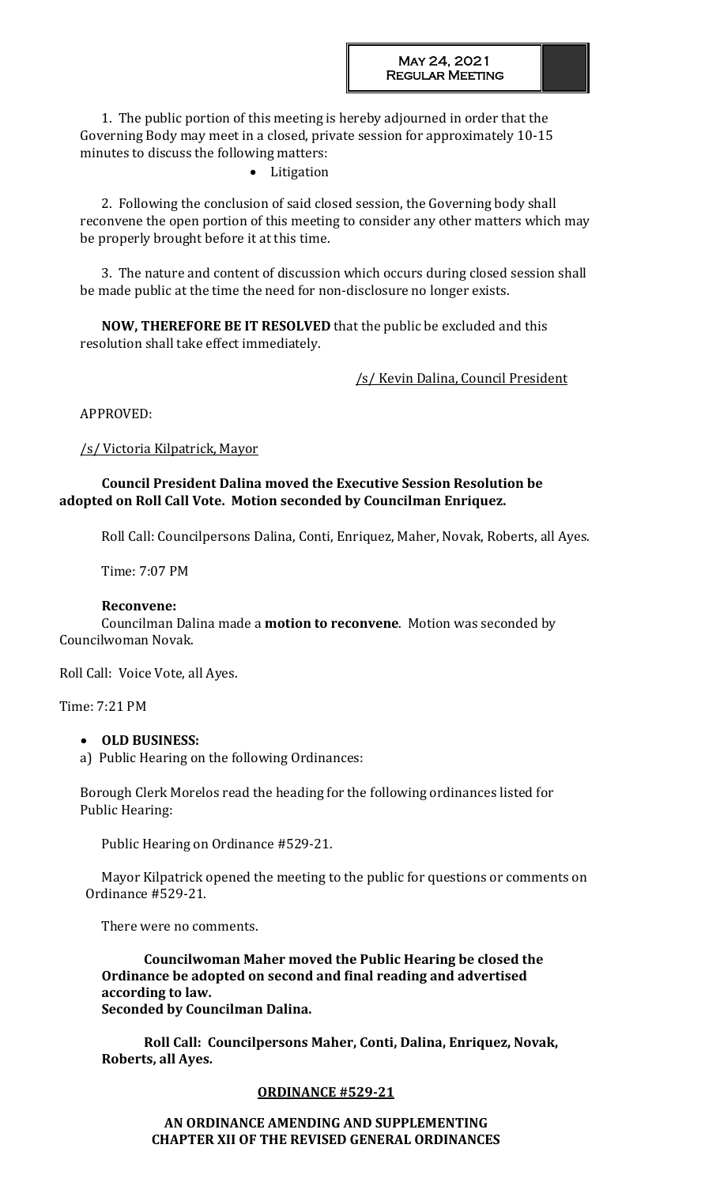1. The public portion of this meeting is hereby adjourned in order that the Governing Body may meet in a closed, private session for approximately 10-15 minutes to discuss the following matters:

• Litigation

2. Following the conclusion of said closed session, the Governing body shall reconvene the open portion of this meeting to consider any other matters which may be properly brought before it at this time.

3. The nature and content of discussion which occurs during closed session shall be made public at the time the need for non-disclosure no longer exists.

**NOW, THEREFORE BE IT RESOLVED** that the public be excluded and this resolution shall take effect immediately.

/s/ Kevin Dalina, Council President

APPROVED:

# /s/ Victoria Kilpatrick, Mayor

# **Council President Dalina moved the Executive Session Resolution be adopted on Roll Call Vote. Motion seconded by Councilman Enriquez.**

Roll Call: Councilpersons Dalina, Conti, Enriquez, Maher, Novak, Roberts, all Ayes.

Time: 7:07 PM

# **Reconvene:**

Councilman Dalina made a **motion to reconvene**. Motion was seconded by Councilwoman Novak.

Roll Call: Voice Vote, all Ayes.

Time: 7:21 PM

# **OLD BUSINESS:**

a) Public Hearing on the following Ordinances:

Borough Clerk Morelos read the heading for the following ordinances listed for Public Hearing:

Public Hearing on Ordinance #529-21.

Mayor Kilpatrick opened the meeting to the public for questions or comments on Ordinance #529-21.

There were no comments.

**Councilwoman Maher moved the Public Hearing be closed the Ordinance be adopted on second and final reading and advertised according to law. Seconded by Councilman Dalina.** 

**Roll Call: Councilpersons Maher, Conti, Dalina, Enriquez, Novak, Roberts, all Ayes.**

# **ORDINANCE #529-21**

**AN ORDINANCE AMENDING AND SUPPLEMENTING CHAPTER XII OF THE REVISED GENERAL ORDINANCES**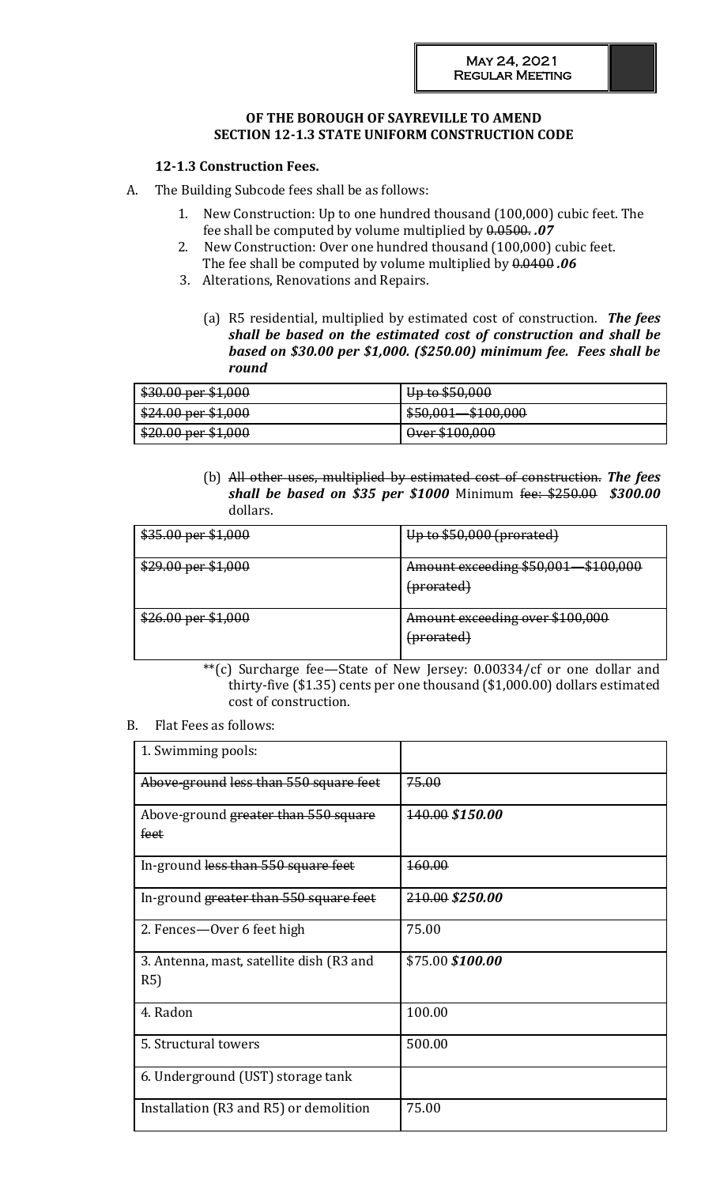# **OF THE BOROUGH OF SAYREVILLE TO AMEND SECTION 12-1.3 STATE UNIFORM CONSTRUCTION CODE**

# **12-1.3 Construction Fees.**

- A. The Building Subcode fees shall be as follows:
	- 1. New Construction: Up to one hundred thousand (100,000) cubic feet. The fee shall be computed by volume multiplied by 0.0500. *.07*
	- 2. New Construction: Over one hundred thousand (100,000) cubic feet. The fee shall be computed by volume multiplied by 0.0400 *.06*
	- 3. Alterations, Renovations and Repairs.
		- (a) R5 residential, multiplied by estimated cost of construction. *The fees shall be based on the estimated cost of construction and shall be based on \$30.00 per \$1,000. (\$250.00) minimum fee. Fees shall be round*

| $$30.00$ per \$1,000                                 | $\overline{\text{Hn}}$ to $\overline{\text{K}}$ $\overline{\text{R}}$ $\overline{\text{R}}$ $\overline{\text{R}}$<br><del>up to soutou</del> |
|------------------------------------------------------|----------------------------------------------------------------------------------------------------------------------------------------------|
| \$24.00 per \$1,000                                  | <b>MAD 000</b><br><b>¢</b> ደስ ሰሰ1<br>$\frac{1}{2}$                                                                                           |
| $$20.00$ nor \$1.000<br><del>ΦΔU.UU μει φ1,σου</del> | $Q_{\text{var}}$ \$100,000<br><del>ovci slov,ovu</del>                                                                                       |

(b) All other uses, multiplied by estimated cost of construction. *The fees shall be based on \$35 per \$1000* Minimum fee: \$250.00 *\$300.00*  dollars.

| $$35.00$ per \$1,000 | Up to $$50,000$ (prorated)                               |
|----------------------|----------------------------------------------------------|
| $$29.00$ per \$1,000 | Amount exceeding \$50,001 \$100,000<br>(prorated)        |
| $$26.00$ per \$1,000 | Amount exceeding over \$100,000<br><del>(prorated)</del> |

\*\*(c) Surcharge fee—State of New Jersey: 0.00334/cf or one dollar and thirty-five (\$1.35) cents per one thousand (\$1,000.00) dollars estimated cost of construction.

#### B. Flat Fees as follows:

| 1. Swimming pools:                              |                   |
|-------------------------------------------------|-------------------|
| Above-ground less than 550 square feet          | 75.00             |
| Above-ground greater than 550 square<br>feet    | 140.00 \$150.00   |
| In-ground less than 550 square feet             | <del>160.00</del> |
| In-ground greater than 550 square feet          | 210.00 \$250.00   |
| 2. Fences—Over 6 feet high                      | 75.00             |
| 3. Antenna, mast, satellite dish (R3 and<br>R5) | \$75.00 \$100.00  |
| 4. Radon                                        | 100.00            |
| 5. Structural towers                            | 500.00            |
| 6. Underground (UST) storage tank               |                   |
| Installation (R3 and R5) or demolition          | 75.00             |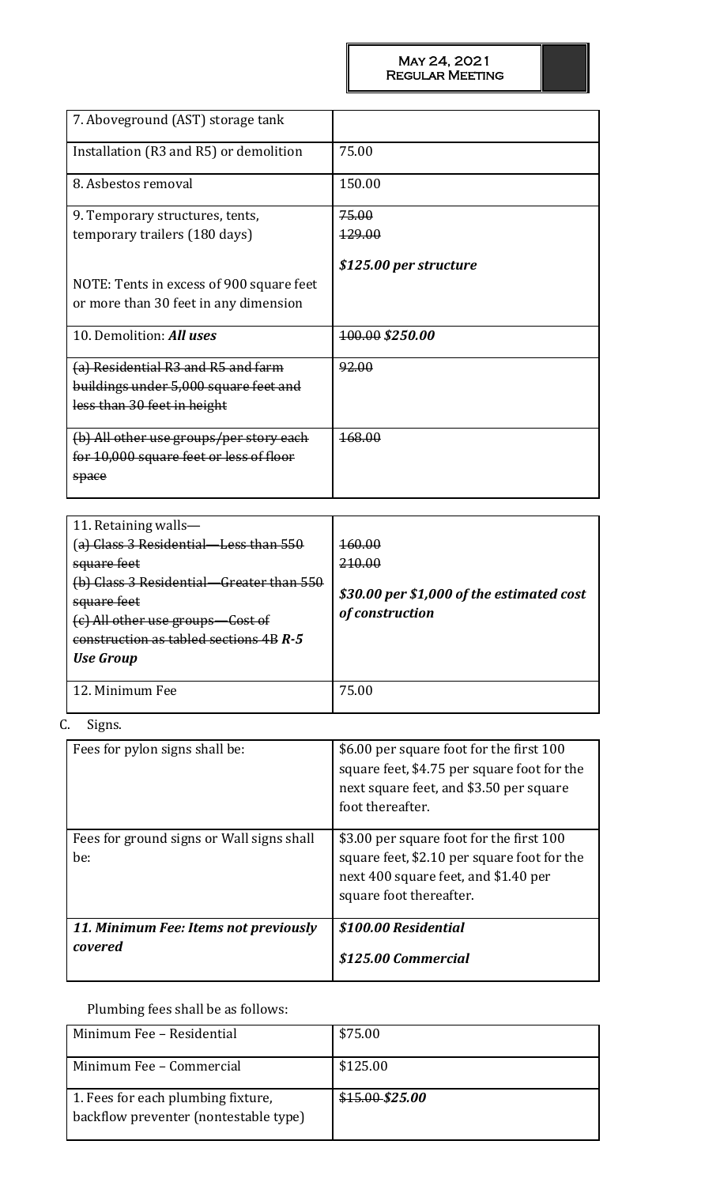| 7. Aboveground (AST) storage tank        |                        |
|------------------------------------------|------------------------|
| Installation (R3 and R5) or demolition   | 75.00                  |
| 8. Asbestos removal                      | 150.00                 |
| 9. Temporary structures, tents,          | 75.00                  |
| temporary trailers (180 days)            | <del>129.00</del>      |
| NOTE: Tents in excess of 900 square feet | \$125.00 per structure |
|                                          |                        |
| or more than 30 feet in any dimension    |                        |
| 10. Demolition: All uses                 | 100.00 \$250.00        |
| (a) Residential R3 and R5 and farm       | 92.00                  |
| buildings under 5,000 square feet and    |                        |
| less than 30 feet in height              |                        |
|                                          |                        |
| (b) All other use groups/per story each  | <del>168.00</del>      |
| for 10,000 square feet or less of floor  |                        |
| space                                    |                        |
|                                          |                        |

| 11. Retaining walls—<br>(a) Class 3 Residential—Less than 550<br>square feet<br>(b) Class 3 Residential—Greater than 550<br>square feet<br>(c) All other use groups—Cost of<br>construction as tabled sections 4B R-5<br><b>Use Group</b> | <del>160.00</del><br>210.00<br>\$30.00 per \$1,000 of the estimated cost<br>of construction |
|-------------------------------------------------------------------------------------------------------------------------------------------------------------------------------------------------------------------------------------------|---------------------------------------------------------------------------------------------|
| 12. Minimum Fee                                                                                                                                                                                                                           | 75.00                                                                                       |

C. Signs.

| Fees for pylon signs shall be:                   | \$6.00 per square foot for the first 100<br>square feet, \$4.75 per square foot for the<br>next square feet, and \$3.50 per square<br>foot thereafter.     |
|--------------------------------------------------|------------------------------------------------------------------------------------------------------------------------------------------------------------|
| Fees for ground signs or Wall signs shall<br>be: | \$3.00 per square foot for the first 100<br>square feet, \$2.10 per square foot for the<br>next 400 square feet, and \$1.40 per<br>square foot thereafter. |
| 11. Minimum Fee: Items not previously<br>covered | \$100.00 Residential<br>\$125.00 Commercial                                                                                                                |

# Plumbing fees shall be as follows:

| Minimum Fee - Residential                                                   | \$75.00         |
|-----------------------------------------------------------------------------|-----------------|
| Minimum Fee – Commercial                                                    | \$125.00        |
| 1. Fees for each plumbing fixture,<br>backflow preventer (nontestable type) | $$15.00-S25.00$ |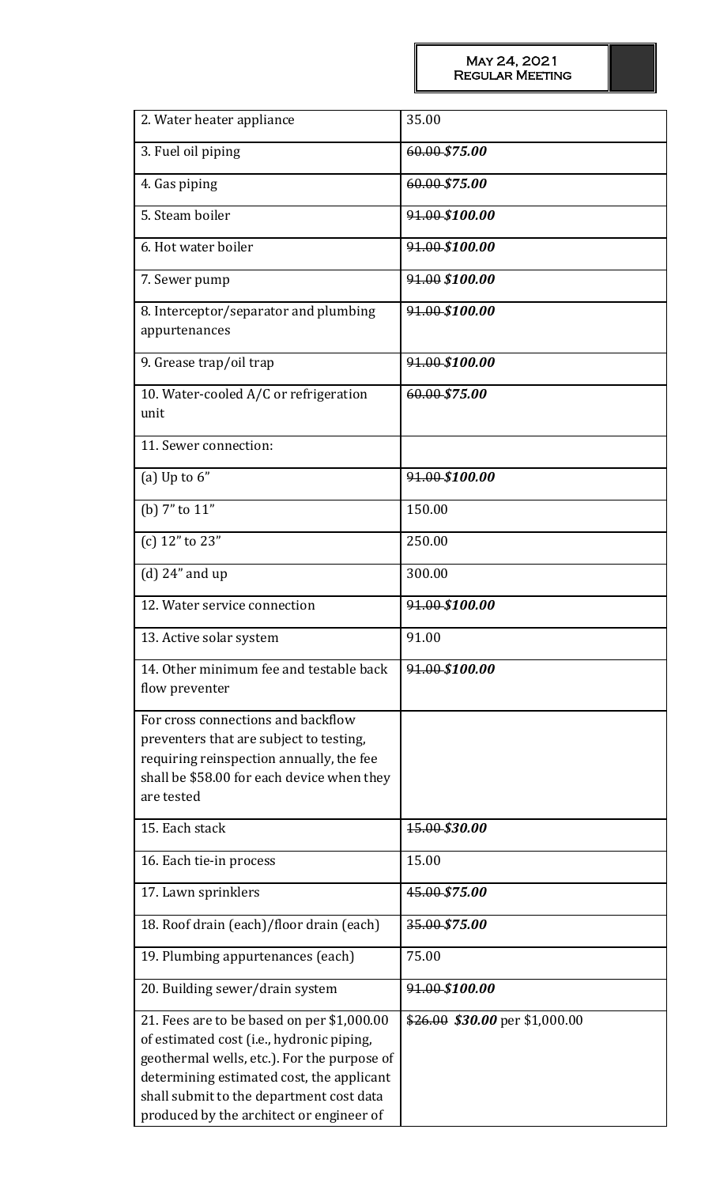| 2. Water heater appliance                                                                                                                                                                                                                                                   | 35.00                            |
|-----------------------------------------------------------------------------------------------------------------------------------------------------------------------------------------------------------------------------------------------------------------------------|----------------------------------|
| 3. Fuel oil piping                                                                                                                                                                                                                                                          | 60.00 \$75.00                    |
| 4. Gas piping                                                                                                                                                                                                                                                               | 60.00-\$75.00                    |
| 5. Steam boiler                                                                                                                                                                                                                                                             | 91.00 \$100.00                   |
| 6. Hot water boiler                                                                                                                                                                                                                                                         | 91.00 \$100.00                   |
| 7. Sewer pump                                                                                                                                                                                                                                                               | 91.00 \$100.00                   |
| 8. Interceptor/separator and plumbing<br>appurtenances                                                                                                                                                                                                                      | 91.00 \$100.00                   |
| 9. Grease trap/oil trap                                                                                                                                                                                                                                                     | 91.00 \$100.00                   |
| 10. Water-cooled A/C or refrigeration<br>unit                                                                                                                                                                                                                               | 60.00 \$75.00                    |
| 11. Sewer connection:                                                                                                                                                                                                                                                       |                                  |
| (a) Up to $6''$                                                                                                                                                                                                                                                             | 91.00 \$100.00                   |
| (b) 7" to 11"                                                                                                                                                                                                                                                               | 150.00                           |
| (c) 12" to 23"                                                                                                                                                                                                                                                              | 250.00                           |
| $(d)$ 24" and up                                                                                                                                                                                                                                                            | 300.00                           |
| 12. Water service connection                                                                                                                                                                                                                                                | 91.00 \$100.00                   |
| 13. Active solar system                                                                                                                                                                                                                                                     | 91.00                            |
| 14. Other minimum fee and testable back<br>flow preventer                                                                                                                                                                                                                   | 91.00 \$100.00                   |
| For cross connections and backflow<br>preventers that are subject to testing,<br>requiring reinspection annually, the fee<br>shall be \$58.00 for each device when they<br>are tested                                                                                       |                                  |
| 15. Each stack                                                                                                                                                                                                                                                              | 15.00-\$30.00                    |
| 16. Each tie-in process                                                                                                                                                                                                                                                     | 15.00                            |
| 17. Lawn sprinklers                                                                                                                                                                                                                                                         | 45.00 \$75.00                    |
| 18. Roof drain (each)/floor drain (each)                                                                                                                                                                                                                                    | 35.00 \$75.00                    |
| 19. Plumbing appurtenances (each)                                                                                                                                                                                                                                           | 75.00                            |
| 20. Building sewer/drain system                                                                                                                                                                                                                                             | 91.00 \$100.00                   |
| 21. Fees are to be based on per \$1,000.00<br>of estimated cost (i.e., hydronic piping,<br>geothermal wells, etc.). For the purpose of<br>determining estimated cost, the applicant<br>shall submit to the department cost data<br>produced by the architect or engineer of | $$26.00$$ \$30.00 per \$1,000.00 |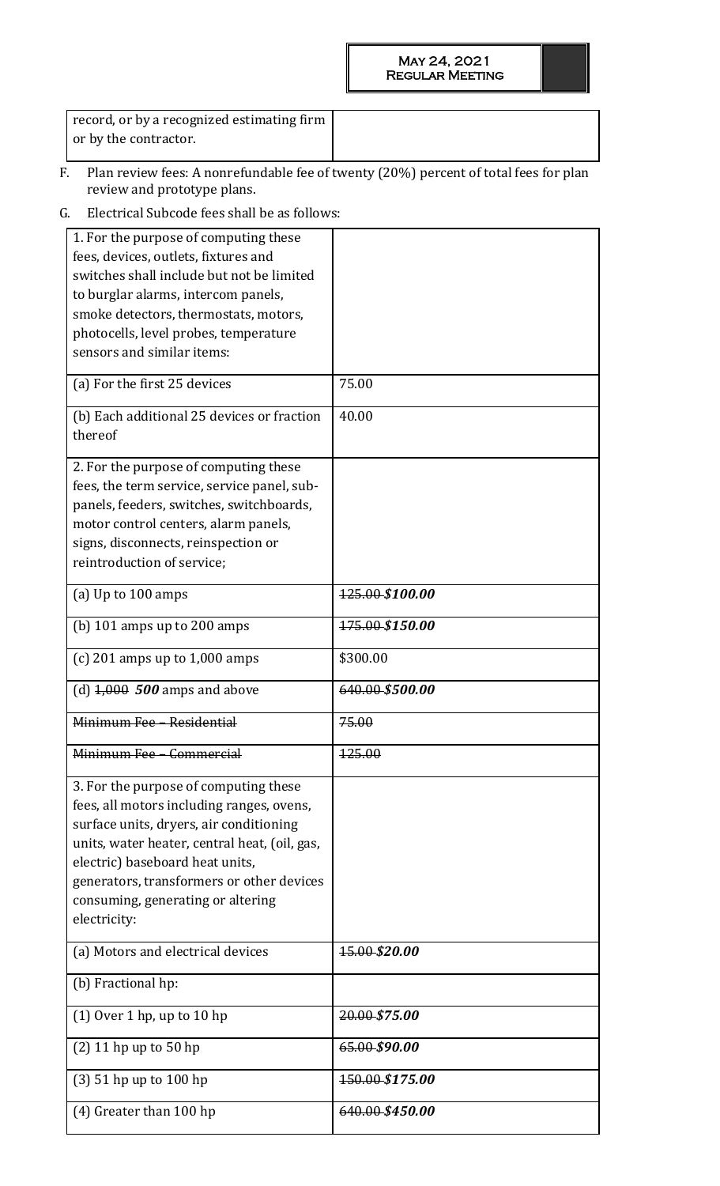record, or by a recognized estimating firm or by the contractor.

- F. Plan review fees: A nonrefundable fee of twenty (20%) percent of total fees for plan review and prototype plans.
- G. Electrical Subcode fees shall be as follows:

| 1. For the purpose of computing these<br>fees, devices, outlets, fixtures and<br>switches shall include but not be limited<br>to burglar alarms, intercom panels,<br>smoke detectors, thermostats, motors,<br>photocells, level probes, temperature<br>sensors and similar items:                                   |                 |
|---------------------------------------------------------------------------------------------------------------------------------------------------------------------------------------------------------------------------------------------------------------------------------------------------------------------|-----------------|
| (a) For the first 25 devices                                                                                                                                                                                                                                                                                        | 75.00           |
| (b) Each additional 25 devices or fraction<br>thereof                                                                                                                                                                                                                                                               | 40.00           |
| 2. For the purpose of computing these<br>fees, the term service, service panel, sub-<br>panels, feeders, switches, switchboards,<br>motor control centers, alarm panels,<br>signs, disconnects, reinspection or<br>reintroduction of service;                                                                       |                 |
| (a) Up to 100 amps                                                                                                                                                                                                                                                                                                  | 125.00 \$100.00 |
| (b) $101$ amps up to $200$ amps                                                                                                                                                                                                                                                                                     | 175.00 \$150.00 |
| (c) 201 amps up to $1,000$ amps                                                                                                                                                                                                                                                                                     | \$300.00        |
| (d) $4,000$ 500 amps and above                                                                                                                                                                                                                                                                                      | 640.00-\$500.00 |
| Minimum Fee - Residential                                                                                                                                                                                                                                                                                           | 75.00           |
| Minimum Fee - Commercial                                                                                                                                                                                                                                                                                            | 125.00          |
| 3. For the purpose of computing these<br>fees, all motors including ranges, ovens,<br>surface units, dryers, air conditioning<br>units, water heater, central heat, (oil, gas,<br>electric) baseboard heat units,<br>generators, transformers or other devices<br>consuming, generating or altering<br>electricity: |                 |
| (a) Motors and electrical devices                                                                                                                                                                                                                                                                                   | 15.00-\$20.00   |
| (b) Fractional hp:                                                                                                                                                                                                                                                                                                  |                 |
| $(1)$ Over 1 hp, up to 10 hp                                                                                                                                                                                                                                                                                        | 20.00-\$75.00   |
| $(2)$ 11 hp up to 50 hp                                                                                                                                                                                                                                                                                             | 65.00-\$90.00   |
| $(3)$ 51 hp up to 100 hp                                                                                                                                                                                                                                                                                            | 150.00 \$175.00 |
| (4) Greater than 100 hp                                                                                                                                                                                                                                                                                             | 640.00-\$450.00 |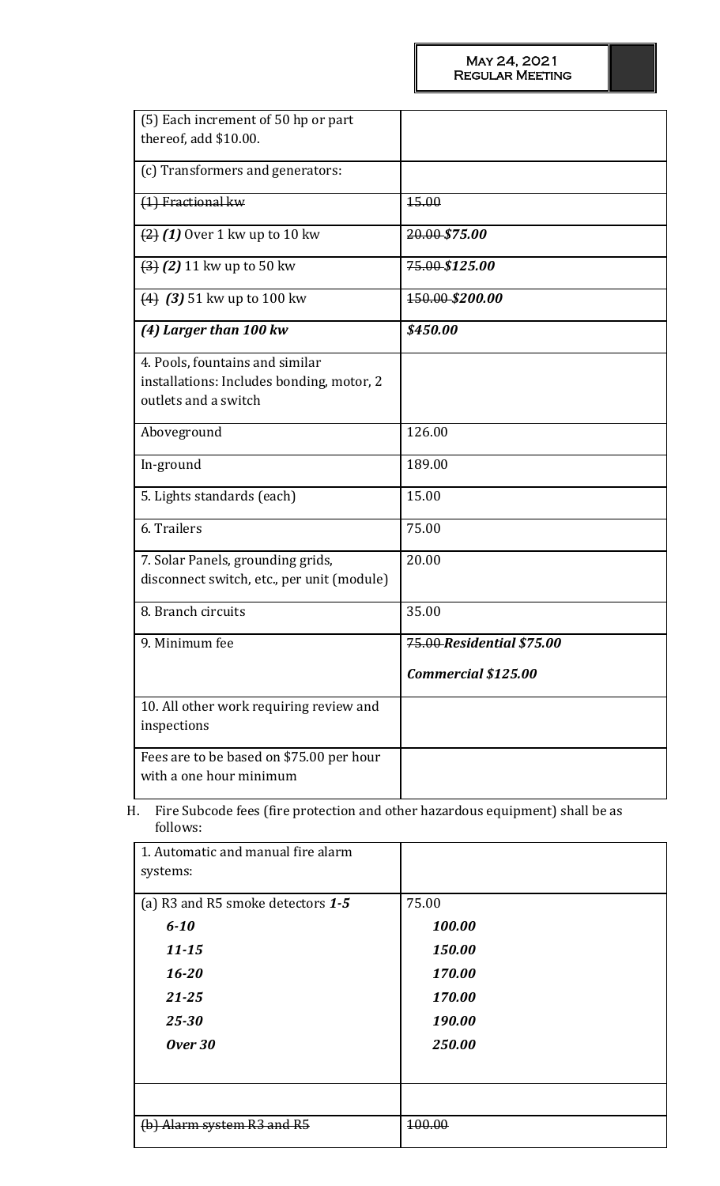| (5) Each increment of 50 hp or part<br>thereof, add \$10.00.                                         |                            |
|------------------------------------------------------------------------------------------------------|----------------------------|
| (c) Transformers and generators:                                                                     |                            |
| (1) Fractional kw                                                                                    | 15.00                      |
| $(2)$ (1) Over 1 kw up to 10 kw                                                                      | 20.00 \$75.00              |
| $(3)$ (2) 11 kw up to 50 kw                                                                          | 75.00 \$125.00             |
| $(4)$ (3) 51 kw up to 100 kw                                                                         | 150.00 \$200.00            |
| (4) Larger than 100 kw                                                                               | \$450.00                   |
| 4. Pools, fountains and similar<br>installations: Includes bonding, motor, 2<br>outlets and a switch |                            |
| Aboveground                                                                                          | 126.00                     |
| In-ground                                                                                            | 189.00                     |
| 5. Lights standards (each)                                                                           | 15.00                      |
| 6. Trailers                                                                                          | 75.00                      |
| 7. Solar Panels, grounding grids,<br>disconnect switch, etc., per unit (module)                      | 20.00                      |
| 8. Branch circuits                                                                                   | 35.00                      |
| 9. Minimum fee                                                                                       | 75.00 Residential \$75.00  |
|                                                                                                      | <b>Commercial \$125.00</b> |
| 10. All other work requiring review and<br>inspections                                               |                            |
| Fees are to be based on \$75.00 per hour<br>with a one hour minimum                                  |                            |

H. Fire Subcode fees (fire protection and other hazardous equipment) shall be as follows:

| 1. Automatic and manual fire alarm<br>systems: |        |
|------------------------------------------------|--------|
|                                                |        |
| (a) R3 and R5 smoke detectors 1-5              | 75.00  |
| $6 - 10$                                       | 100.00 |
| $11 - 15$                                      | 150.00 |
| $16 - 20$                                      | 170.00 |
| $21 - 25$                                      | 170.00 |
| $25 - 30$                                      | 190.00 |
| Over 30                                        | 250.00 |
|                                                |        |
|                                                |        |
| Alarm system R3 and R5                         | 100.00 |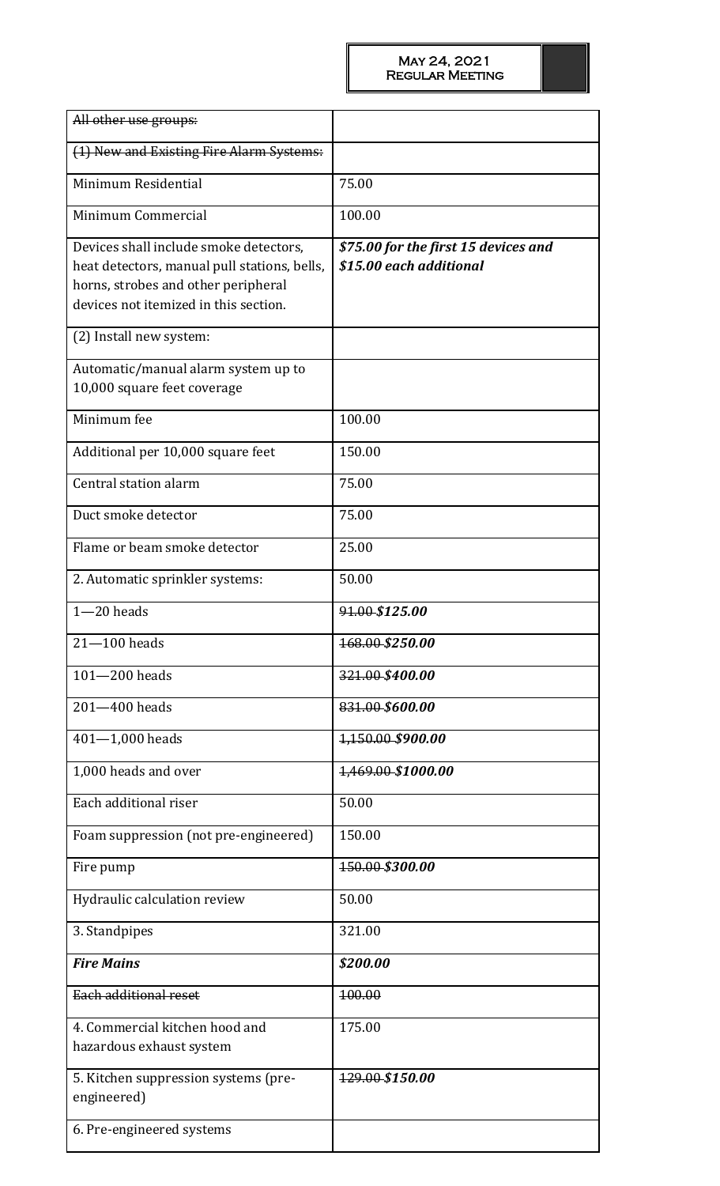| All other use groups:                                                                                                                                                  |                                                                 |
|------------------------------------------------------------------------------------------------------------------------------------------------------------------------|-----------------------------------------------------------------|
| (1) New and Existing Fire Alarm Systems:                                                                                                                               |                                                                 |
| Minimum Residential                                                                                                                                                    | 75.00                                                           |
| Minimum Commercial                                                                                                                                                     | 100.00                                                          |
| Devices shall include smoke detectors,<br>heat detectors, manual pull stations, bells,<br>horns, strobes and other peripheral<br>devices not itemized in this section. | \$75.00 for the first 15 devices and<br>\$15.00 each additional |
| (2) Install new system:                                                                                                                                                |                                                                 |
| Automatic/manual alarm system up to<br>10,000 square feet coverage                                                                                                     |                                                                 |
| Minimum fee                                                                                                                                                            | 100.00                                                          |
| Additional per 10,000 square feet                                                                                                                                      | 150.00                                                          |
| Central station alarm                                                                                                                                                  | 75.00                                                           |
| Duct smoke detector                                                                                                                                                    | 75.00                                                           |
| Flame or beam smoke detector                                                                                                                                           | 25.00                                                           |
| 2. Automatic sprinkler systems:                                                                                                                                        | 50.00                                                           |
| $1 - 20$ heads                                                                                                                                                         | 91.00 \$125.00                                                  |
| $21 - 100$ heads                                                                                                                                                       | 168.00 \$250.00                                                 |
| $101 - 200$ heads                                                                                                                                                      | 321.00-\$400.00                                                 |
| 201-400 heads                                                                                                                                                          | 831.00-\$600.00                                                 |
| $401 - 1,000$ heads                                                                                                                                                    | 1,150.00 \$900.00                                               |
| 1,000 heads and over                                                                                                                                                   | <u>1,469.00-\$1000.00</u>                                       |
| Each additional riser                                                                                                                                                  | 50.00                                                           |
| Foam suppression (not pre-engineered)                                                                                                                                  | 150.00                                                          |
| Fire pump                                                                                                                                                              | 150.00 \$300.00                                                 |
| Hydraulic calculation review                                                                                                                                           | 50.00                                                           |
| 3. Standpipes                                                                                                                                                          | 321.00                                                          |
| <b>Fire Mains</b>                                                                                                                                                      | \$200.00                                                        |
| Each additional reset                                                                                                                                                  | 100.00                                                          |
| 4. Commercial kitchen hood and<br>hazardous exhaust system                                                                                                             | 175.00                                                          |
| 5. Kitchen suppression systems (pre-<br>engineered)                                                                                                                    | 129.00 \$150.00                                                 |
| 6. Pre-engineered systems                                                                                                                                              |                                                                 |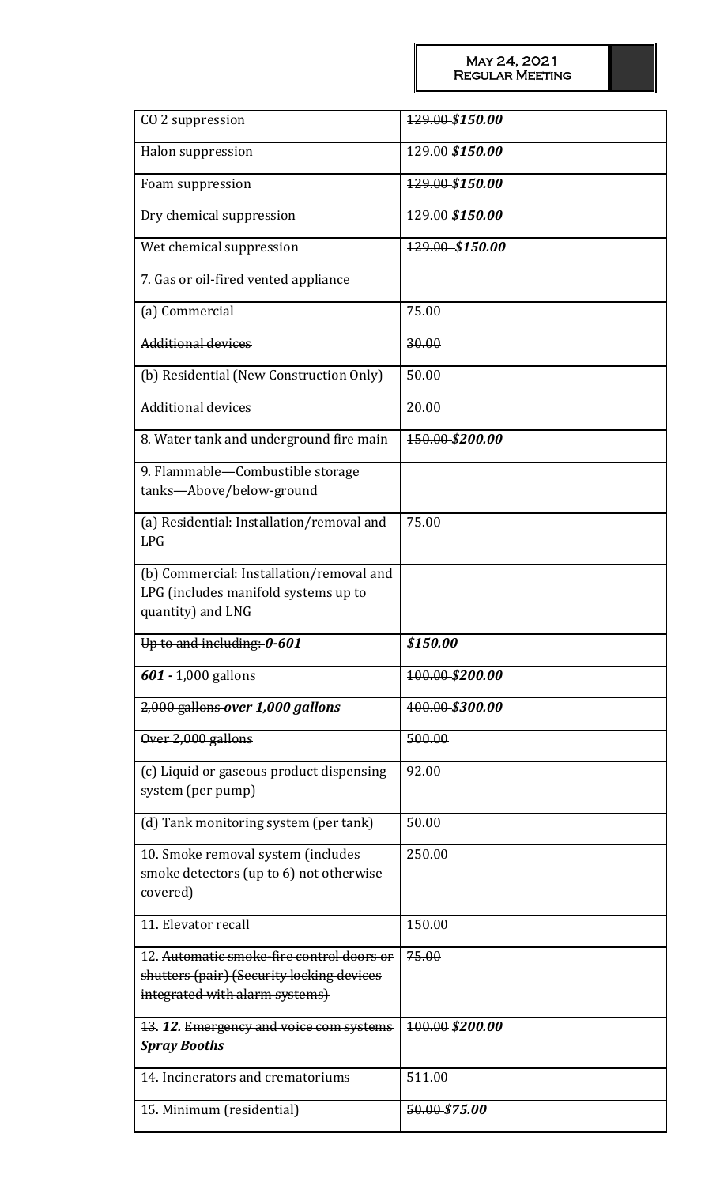| CO <sub>2</sub> suppression                                                                                              | 129.00-\$150.00 |
|--------------------------------------------------------------------------------------------------------------------------|-----------------|
| Halon suppression                                                                                                        | 129.00-\$150.00 |
| Foam suppression                                                                                                         | 129.00-\$150.00 |
| Dry chemical suppression                                                                                                 | 129.00-\$150.00 |
| Wet chemical suppression                                                                                                 | 129.00 \$150.00 |
| 7. Gas or oil-fired vented appliance                                                                                     |                 |
| (a) Commercial                                                                                                           | 75.00           |
| <b>Additional devices</b>                                                                                                | 30.00           |
| (b) Residential (New Construction Only)                                                                                  | 50.00           |
| <b>Additional devices</b>                                                                                                | 20.00           |
| 8. Water tank and underground fire main                                                                                  | 150.00-\$200.00 |
| 9. Flammable-Combustible storage<br>tanks-Above/below-ground                                                             |                 |
| (a) Residential: Installation/removal and<br><b>LPG</b>                                                                  | 75.00           |
| (b) Commercial: Installation/removal and<br>LPG (includes manifold systems up to                                         |                 |
| quantity) and LNG                                                                                                        |                 |
| Up to and including: 0-601                                                                                               | \$150.00        |
| $601 - 1,000$ gallons                                                                                                    | 100.00-\$200.00 |
| 2,000 gallons over 1,000 gallons                                                                                         | 400.00-\$300.00 |
| Over 2,000 gallons                                                                                                       | 500.00          |
| (c) Liquid or gaseous product dispensing<br>system (per pump)                                                            | 92.00           |
| (d) Tank monitoring system (per tank)                                                                                    | 50.00           |
| 10. Smoke removal system (includes<br>smoke detectors (up to 6) not otherwise<br>covered)                                | 250.00          |
| 11. Elevator recall                                                                                                      | 150.00          |
| 12. Automatic smoke-fire control doors or<br>shutters (pair) (Security locking devices<br>integrated with alarm systems) | 75.00           |
| 13.12. Emergency and voice com systems<br><b>Spray Booths</b>                                                            | 100.00 \$200.00 |
| 14. Incinerators and crematoriums                                                                                        | 511.00          |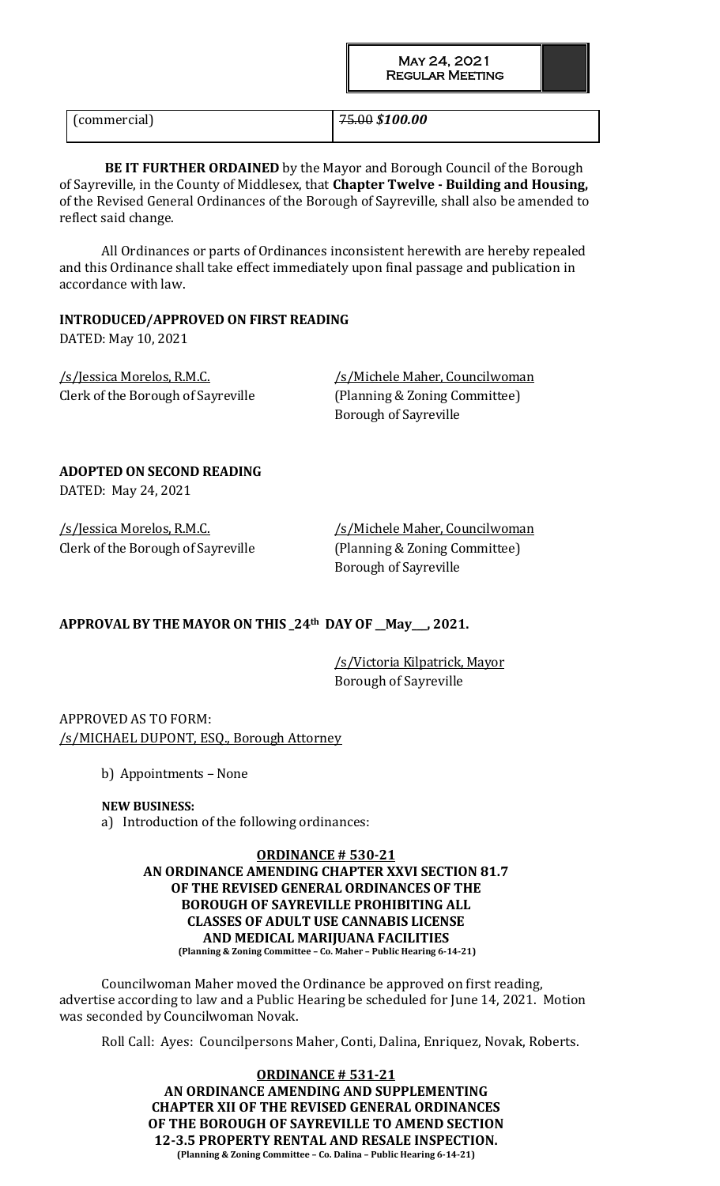(commercial) 75.00 *\$100.00*

**BE IT FURTHER ORDAINED** by the Mayor and Borough Council of the Borough of Sayreville, in the County of Middlesex, that **Chapter Twelve - Building and Housing,**  of the Revised General Ordinances of the Borough of Sayreville, shall also be amended to reflect said change.

All Ordinances or parts of Ordinances inconsistent herewith are hereby repealed and this Ordinance shall take effect immediately upon final passage and publication in accordance with law.

# **INTRODUCED/APPROVED ON FIRST READING**

DATED: May 10, 2021

/s/Jessica Morelos, R.M.C. /s/Michele Maher, Councilwoman Clerk of the Borough of Sayreville (Planning & Zoning Committee)

Borough of Sayreville

# **ADOPTED ON SECOND READING**

DATED: May 24, 2021

Clerk of the Borough of Sayreville (Planning & Zoning Committee)

/s/Jessica Morelos, R.M.C. /s/Michele Maher, Councilwoman Borough of Sayreville

# **APPROVAL BY THE MAYOR ON THIS \_24th DAY OF \_\_May\_\_\_, 2021.**

/s/Victoria Kilpatrick, Mayor Borough of Sayreville

APPROVED AS TO FORM: /s/MICHAEL DUPONT, ESQ., Borough Attorney

b) Appointments – None

# **NEW BUSINESS:**

a) Introduction of the following ordinances:

#### **ORDINANCE # 530-21 AN ORDINANCE AMENDING CHAPTER XXVI SECTION 81.7 OF THE REVISED GENERAL ORDINANCES OF THE BOROUGH OF SAYREVILLE PROHIBITING ALL CLASSES OF ADULT USE CANNABIS LICENSE AND MEDICAL MARIJUANA FACILITIES (Planning & Zoning Committee – Co. Maher – Public Hearing 6-14-21)**

Councilwoman Maher moved the Ordinance be approved on first reading, advertise according to law and a Public Hearing be scheduled for June 14, 2021. Motion was seconded by Councilwoman Novak.

Roll Call: Ayes: Councilpersons Maher, Conti, Dalina, Enriquez, Novak, Roberts.

**ORDINANCE # 531-21 AN ORDINANCE AMENDING AND SUPPLEMENTING CHAPTER XII OF THE REVISED GENERAL ORDINANCES OF THE BOROUGH OF SAYREVILLE TO AMEND SECTION 12-3.5 PROPERTY RENTAL AND RESALE INSPECTION. (Planning & Zoning Committee – Co. Dalina – Public Hearing 6-14-21)**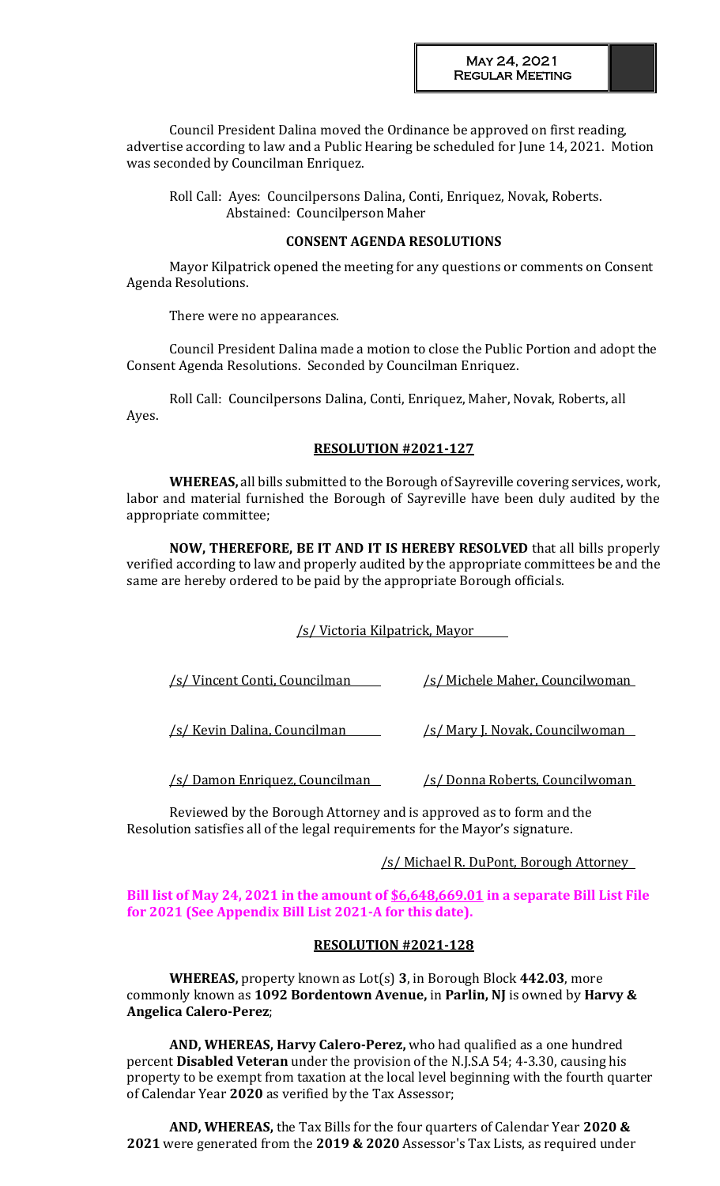Council President Dalina moved the Ordinance be approved on first reading, advertise according to law and a Public Hearing be scheduled for June 14, 2021. Motion was seconded by Councilman Enriquez.

Roll Call: Ayes: Councilpersons Dalina, Conti, Enriquez, Novak, Roberts. Abstained: Councilperson Maher

### **CONSENT AGENDA RESOLUTIONS**

Mayor Kilpatrick opened the meeting for any questions or comments on Consent Agenda Resolutions.

There were no appearances.

Council President Dalina made a motion to close the Public Portion and adopt the Consent Agenda Resolutions. Seconded by Councilman Enriquez.

Roll Call: Councilpersons Dalina, Conti, Enriquez, Maher, Novak, Roberts, all Ayes.

#### **RESOLUTION #2021-127**

**WHEREAS,** all bills submitted to the Borough of Sayreville covering services, work, labor and material furnished the Borough of Sayreville have been duly audited by the appropriate committee;

**NOW, THEREFORE, BE IT AND IT IS HEREBY RESOLVED** that all bills properly verified according to law and properly audited by the appropriate committees be and the same are hereby ordered to be paid by the appropriate Borough officials.

# /s/ Victoria Kilpatrick, Mayor

| /s/ Vincent Conti, Councilman          | /s/ Michele Maher, Councilwoman         |
|----------------------------------------|-----------------------------------------|
| /s/ Kevin Dalina, Councilman           | <u>/s/ Mary J. Novak, Councilwoman_</u> |
| <u>/s/ Damon Enriquez, Councilman_</u> | <u>/s/ Donna Roberts, Councilwoman</u>  |

Reviewed by the Borough Attorney and is approved as to form and the Resolution satisfies all of the legal requirements for the Mayor's signature.

# /s/ Michael R. DuPont, Borough Attorney

# **Bill list of May 24, 2021 in the amount of \$6,648,669.01 in a separate Bill List File for 2021 (See Appendix Bill List 2021-A for this date).**

# **RESOLUTION #2021-128**

**WHEREAS,** property known as Lot(s) **3**, in Borough Block **442.03**, more commonly known as **1092 Bordentown Avenue,** in **Parlin, NJ** is owned by **Harvy & Angelica Calero-Perez**;

**AND, WHEREAS, Harvy Calero-Perez,** who had qualified as a one hundred percent **Disabled Veteran** under the provision of the N.J.S.A 54; 4-3.30, causing his property to be exempt from taxation at the local level beginning with the fourth quarter of Calendar Year **2020** as verified by the Tax Assessor;

**AND, WHEREAS,** the Tax Bills for the four quarters of Calendar Year **2020 & 2021** were generated from the **2019 & 2020** Assessor's Tax Lists, as required under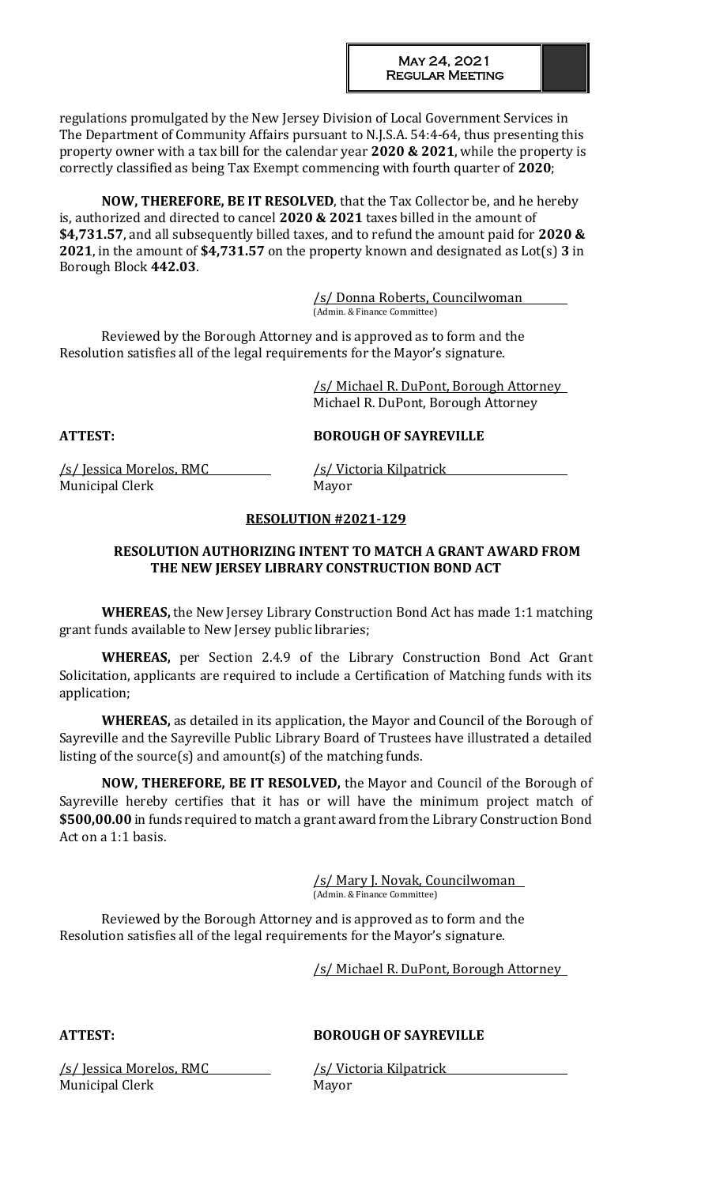regulations promulgated by the New Jersey Division of Local Government Services in The Department of Community Affairs pursuant to N.J.S.A. 54:4-64, thus presenting this property owner with a tax bill for the calendar year **2020 & 2021**, while the property is correctly classified as being Tax Exempt commencing with fourth quarter of **2020**;

**NOW, THEREFORE, BE IT RESOLVED**, that the Tax Collector be, and he hereby is, authorized and directed to cancel **2020 & 2021** taxes billed in the amount of **\$4,731.57**, and all subsequently billed taxes, and to refund the amount paid for **2020 & 2021**, in the amount of **\$4,731.57** on the property known and designated as Lot(s) **3** in Borough Block **442.03**.

> /s/ Donna Roberts, Councilwoman (Admin. & Finance Committee)

Reviewed by the Borough Attorney and is approved as to form and the Resolution satisfies all of the legal requirements for the Mayor's signature.

> /s/ Michael R. DuPont, Borough Attorney Michael R. DuPont, Borough Attorney

#### **ATTEST: BOROUGH OF SAYREVILLE**

/s/ Jessica Morelos, RMC /s/ Victoria Kilpatrick Municipal Clerk Mayor

#### **RESOLUTION #2021-129**

# **RESOLUTION AUTHORIZING INTENT TO MATCH A GRANT AWARD FROM THE NEW JERSEY LIBRARY CONSTRUCTION BOND ACT**

**WHEREAS,** the New Jersey Library Construction Bond Act has made 1:1 matching grant funds available to New Jersey public libraries;

**WHEREAS,** per Section 2.4.9 of the Library Construction Bond Act Grant Solicitation, applicants are required to include a Certification of Matching funds with its application;

**WHEREAS,** as detailed in its application, the Mayor and Council of the Borough of Sayreville and the Sayreville Public Library Board of Trustees have illustrated a detailed listing of the source(s) and amount(s) of the matching funds.

**NOW, THEREFORE, BE IT RESOLVED,** the Mayor and Council of the Borough of Sayreville hereby certifies that it has or will have the minimum project match of **\$500,00.00** in funds required to match a grant award from the Library Construction Bond Act on a 1:1 basis.

> /s/ Mary J. Novak, Councilwoman (Admin. & Finance Committee)

Reviewed by the Borough Attorney and is approved as to form and the Resolution satisfies all of the legal requirements for the Mayor's signature.

/s/ Michael R. DuPont, Borough Attorney

# **ATTEST: BOROUGH OF SAYREVILLE**

/s/ Jessica Morelos, RMC /s/ Victoria Kilpatrick Municipal Clerk Mayor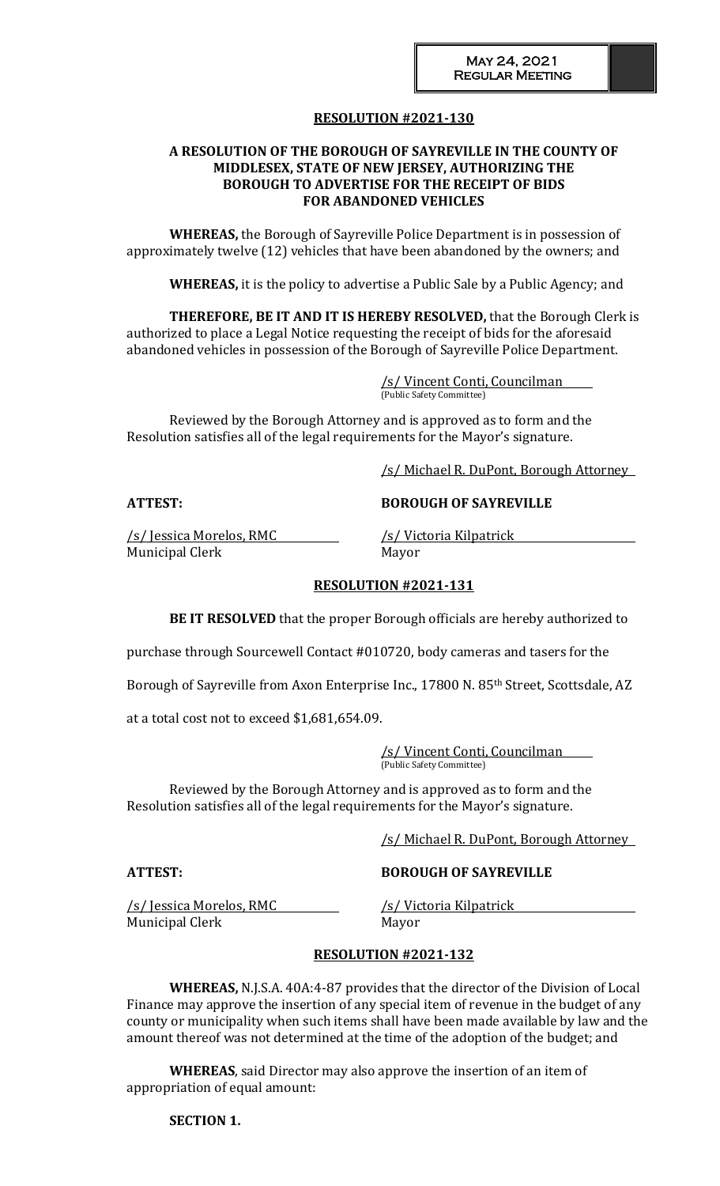# **RESOLUTION #2021-130**

# **A RESOLUTION OF THE BOROUGH OF SAYREVILLE IN THE COUNTY OF MIDDLESEX, STATE OF NEW JERSEY, AUTHORIZING THE BOROUGH TO ADVERTISE FOR THE RECEIPT OF BIDS FOR ABANDONED VEHICLES**

**WHEREAS,** the Borough of Sayreville Police Department is in possession of approximately twelve (12) vehicles that have been abandoned by the owners; and

**WHEREAS,** it is the policy to advertise a Public Sale by a Public Agency; and

**THEREFORE, BE IT AND IT IS HEREBY RESOLVED,** that the Borough Clerk is authorized to place a Legal Notice requesting the receipt of bids for the aforesaid abandoned vehicles in possession of the Borough of Sayreville Police Department.

> /s/ Vincent Conti, Councilman (Public Safety Committee)

Reviewed by the Borough Attorney and is approved as to form and the Resolution satisfies all of the legal requirements for the Mayor's signature.

/s/ Michael R. DuPont, Borough Attorney

# **ATTEST: BOROUGH OF SAYREVILLE**

/s/ Jessica Morelos, RMC /s/ Victoria Kilpatrick Municipal Clerk Mayor

#### **RESOLUTION #2021-131**

**BE IT RESOLVED** that the proper Borough officials are hereby authorized to

purchase through Sourcewell Contact #010720, body cameras and tasers for the

Borough of Sayreville from Axon Enterprise Inc., 17800 N. 85<sup>th</sup> Street, Scottsdale, AZ

at a total cost not to exceed \$1,681,654.09.

/s/ Vincent Conti, Councilman (Public Safety Committee)

Reviewed by the Borough Attorney and is approved as to form and the Resolution satisfies all of the legal requirements for the Mayor's signature.

/s/ Michael R. DuPont, Borough Attorney

**ATTEST: BOROUGH OF SAYREVILLE**

/s/ Jessica Morelos, RMC /s/ Victoria Kilpatrick Municipal Clerk Mayor

# **RESOLUTION #2021-132**

**WHEREAS,** N.J.S.A. 40A:4-87 provides that the director of the Division of Local Finance may approve the insertion of any special item of revenue in the budget of any county or municipality when such items shall have been made available by law and the amount thereof was not determined at the time of the adoption of the budget; and

**WHEREAS**, said Director may also approve the insertion of an item of appropriation of equal amount:

### **SECTION 1.**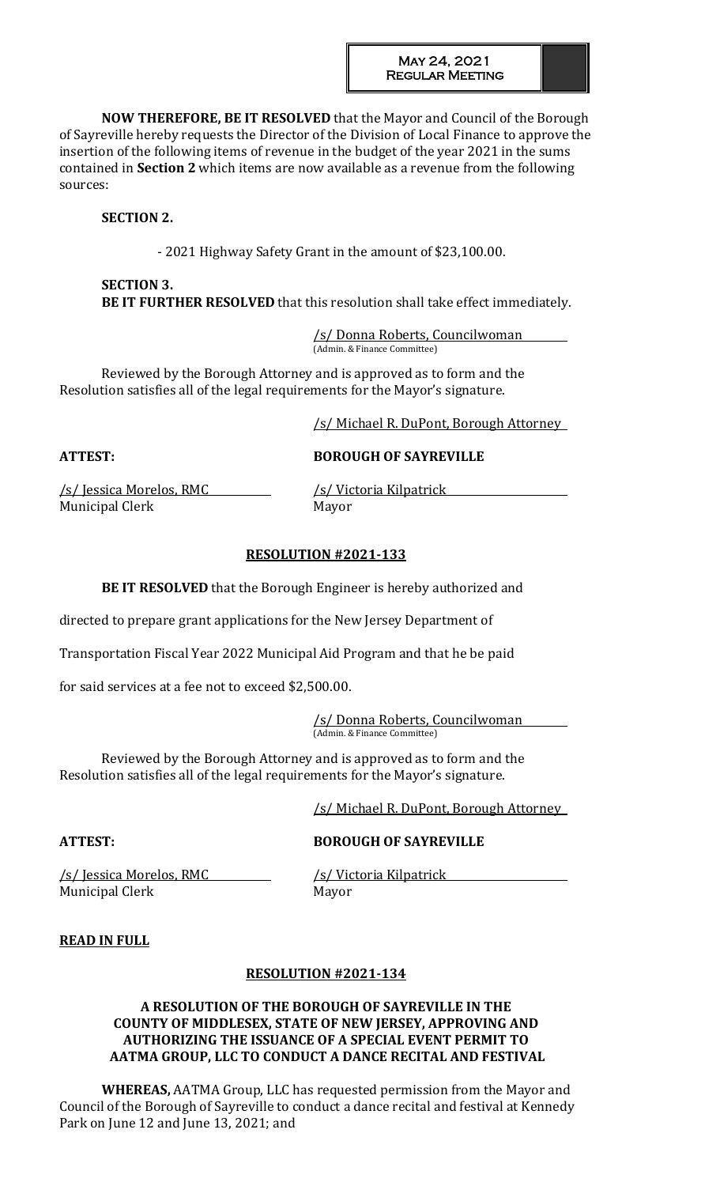**NOW THEREFORE, BE IT RESOLVED** that the Mayor and Council of the Borough of Sayreville hereby requests the Director of the Division of Local Finance to approve the insertion of the following items of revenue in the budget of the year 2021 in the sums contained in **Section 2** which items are now available as a revenue from the following sources:

# **SECTION 2.**

- 2021 Highway Safety Grant in the amount of \$23,100.00.

# **SECTION 3. BE IT FURTHER RESOLVED** that this resolution shall take effect immediately.

/s/ Donna Roberts, Councilwoman (Admin. & Finance Committee)

Reviewed by the Borough Attorney and is approved as to form and the Resolution satisfies all of the legal requirements for the Mayor's signature.

/s/ Michael R. DuPont, Borough Attorney

# **ATTEST: BOROUGH OF SAYREVILLE**

/s/ Jessica Morelos, RMC /s/ Victoria Kilpatrick Municipal Clerk Mayor

# **RESOLUTION #2021-133**

**BE IT RESOLVED** that the Borough Engineer is hereby authorized and

directed to prepare grant applications for the New Jersey Department of

Transportation Fiscal Year 2022 Municipal Aid Program and that he be paid

for said services at a fee not to exceed \$2,500.00.

/s/ Donna Roberts, Councilwoman (Admin. & Finance Committee)

Reviewed by the Borough Attorney and is approved as to form and the Resolution satisfies all of the legal requirements for the Mayor's signature.

/s/ Michael R. DuPont, Borough Attorney

# **ATTEST: BOROUGH OF SAYREVILLE**

/s/ Jessica Morelos, RMC /s/ Victoria Kilpatrick Municipal Clerk Mayor

# **READ IN FULL**

# **RESOLUTION #2021-134**

# **A RESOLUTION OF THE BOROUGH OF SAYREVILLE IN THE COUNTY OF MIDDLESEX, STATE OF NEW JERSEY, APPROVING AND AUTHORIZING THE ISSUANCE OF A SPECIAL EVENT PERMIT TO AATMA GROUP, LLC TO CONDUCT A DANCE RECITAL AND FESTIVAL**

**WHEREAS,** AATMA Group, LLC has requested permission from the Mayor and Council of the Borough of Sayreville to conduct a dance recital and festival at Kennedy Park on June 12 and June 13, 2021; and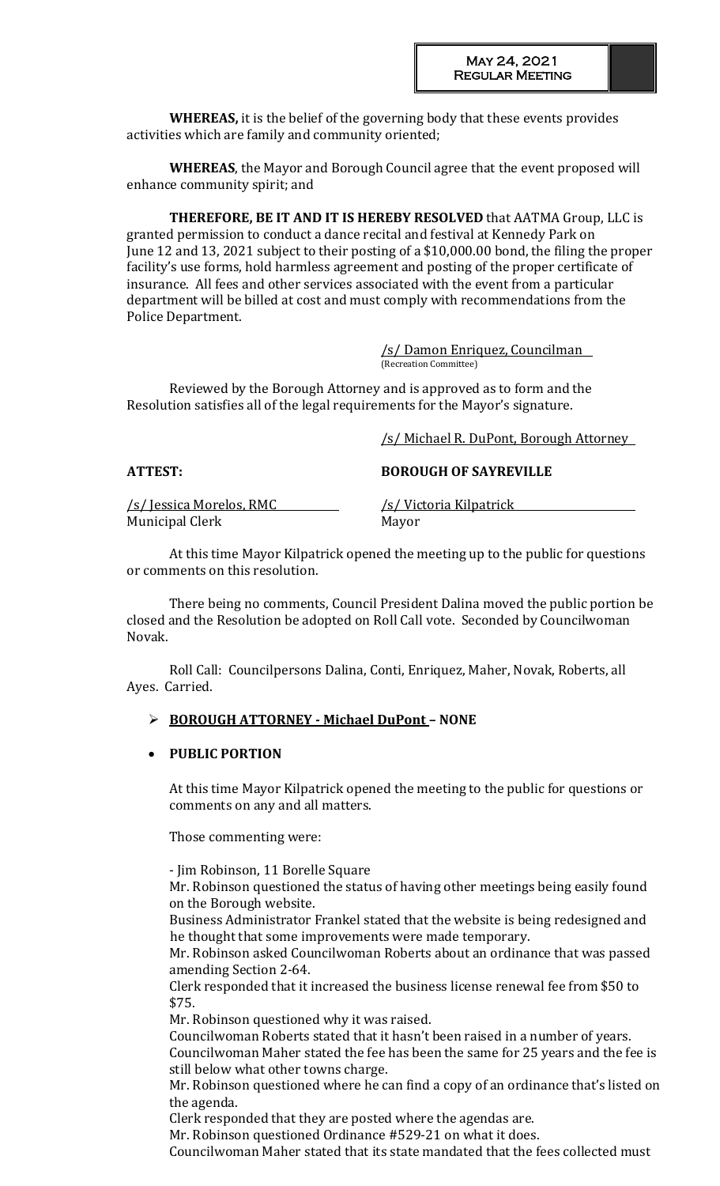**WHEREAS,** it is the belief of the governing body that these events provides activities which are family and community oriented;

**WHEREAS**, the Mayor and Borough Council agree that the event proposed will enhance community spirit; and

**THEREFORE, BE IT AND IT IS HEREBY RESOLVED** that AATMA Group, LLC is granted permission to conduct a dance recital and festival at Kennedy Park on June 12 and 13, 2021 subject to their posting of a \$10,000.00 bond, the filing the proper facility's use forms, hold harmless agreement and posting of the proper certificate of insurance. All fees and other services associated with the event from a particular department will be billed at cost and must comply with recommendations from the Police Department.

> /s/ Damon Enriquez, Councilman (Recreation Committee)

Reviewed by the Borough Attorney and is approved as to form and the Resolution satisfies all of the legal requirements for the Mayor's signature.

/s/ Michael R. DuPont, Borough Attorney

**ATTEST: BOROUGH OF SAYREVILLE**

/s/ Jessica Morelos, RMC /s/ Victoria Kilpatrick Municipal Clerk Mayor

At this time Mayor Kilpatrick opened the meeting up to the public for questions or comments on this resolution.

There being no comments, Council President Dalina moved the public portion be closed and the Resolution be adopted on Roll Call vote. Seconded by Councilwoman Novak.

Roll Call: Councilpersons Dalina, Conti, Enriquez, Maher, Novak, Roberts, all Ayes. Carried.

# **BOROUGH ATTORNEY - Michael DuPont – NONE**

# **PUBLIC PORTION**

At this time Mayor Kilpatrick opened the meeting to the public for questions or comments on any and all matters.

Those commenting were:

- Jim Robinson, 11 Borelle Square

Mr. Robinson questioned the status of having other meetings being easily found on the Borough website.

Business Administrator Frankel stated that the website is being redesigned and he thought that some improvements were made temporary.

Mr. Robinson asked Councilwoman Roberts about an ordinance that was passed amending Section 2-64.

Clerk responded that it increased the business license renewal fee from \$50 to \$75.

Mr. Robinson questioned why it was raised.

Councilwoman Roberts stated that it hasn't been raised in a number of years. Councilwoman Maher stated the fee has been the same for 25 years and the fee is still below what other towns charge.

Mr. Robinson questioned where he can find a copy of an ordinance that's listed on the agenda.

Clerk responded that they are posted where the agendas are.

Mr. Robinson questioned Ordinance #529-21 on what it does.

Councilwoman Maher stated that its state mandated that the fees collected must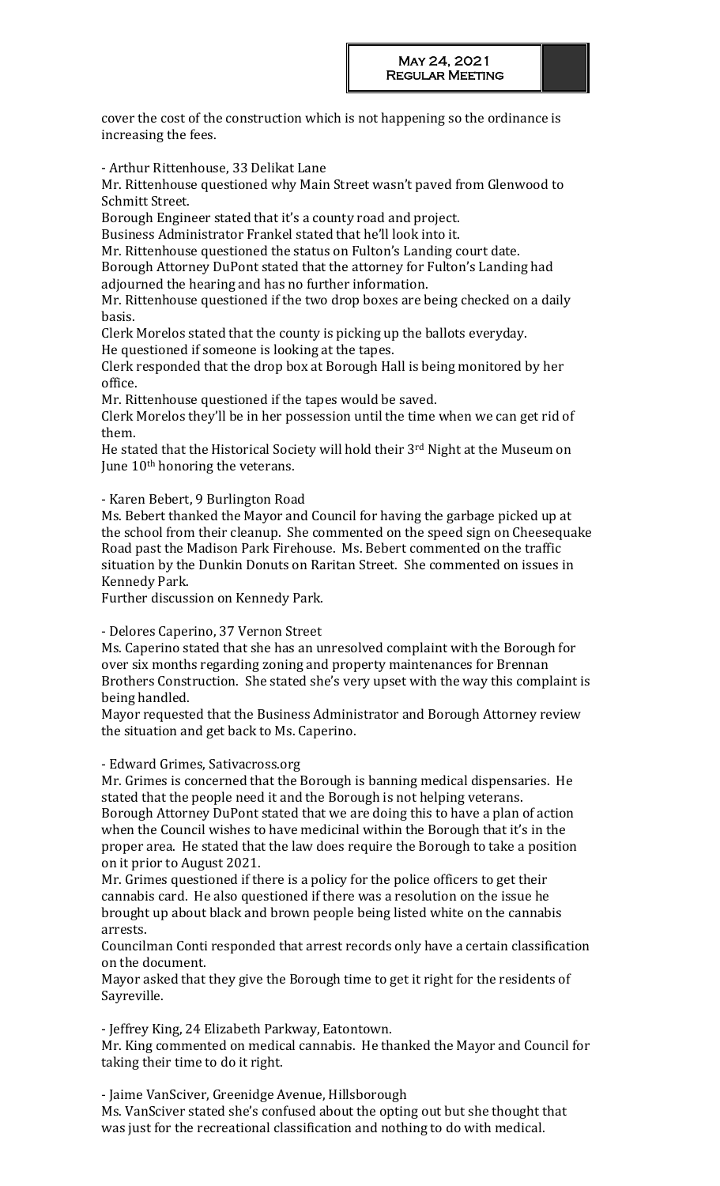cover the cost of the construction which is not happening so the ordinance is increasing the fees.

- Arthur Rittenhouse, 33 Delikat Lane

Mr. Rittenhouse questioned why Main Street wasn't paved from Glenwood to Schmitt Street.

Borough Engineer stated that it's a county road and project.

Business Administrator Frankel stated that he'll look into it.

Mr. Rittenhouse questioned the status on Fulton's Landing court date.

Borough Attorney DuPont stated that the attorney for Fulton's Landing had adjourned the hearing and has no further information.

Mr. Rittenhouse questioned if the two drop boxes are being checked on a daily basis.

Clerk Morelos stated that the county is picking up the ballots everyday.

He questioned if someone is looking at the tapes.

Clerk responded that the drop box at Borough Hall is being monitored by her office.

Mr. Rittenhouse questioned if the tapes would be saved.

Clerk Morelos they'll be in her possession until the time when we can get rid of them.

He stated that the Historical Society will hold their 3rd Night at the Museum on June 10<sup>th</sup> honoring the veterans.

- Karen Bebert, 9 Burlington Road

Ms. Bebert thanked the Mayor and Council for having the garbage picked up at the school from their cleanup. She commented on the speed sign on Cheesequake Road past the Madison Park Firehouse. Ms. Bebert commented on the traffic situation by the Dunkin Donuts on Raritan Street. She commented on issues in Kennedy Park.

Further discussion on Kennedy Park.

- Delores Caperino, 37 Vernon Street

Ms. Caperino stated that she has an unresolved complaint with the Borough for over six months regarding zoning and property maintenances for Brennan Brothers Construction. She stated she's very upset with the way this complaint is being handled.

Mayor requested that the Business Administrator and Borough Attorney review the situation and get back to Ms. Caperino.

- Edward Grimes, Sativacross.org

Mr. Grimes is concerned that the Borough is banning medical dispensaries. He stated that the people need it and the Borough is not helping veterans. Borough Attorney DuPont stated that we are doing this to have a plan of action when the Council wishes to have medicinal within the Borough that it's in the proper area. He stated that the law does require the Borough to take a position

on it prior to August 2021.

Mr. Grimes questioned if there is a policy for the police officers to get their cannabis card. He also questioned if there was a resolution on the issue he brought up about black and brown people being listed white on the cannabis arrests.

Councilman Conti responded that arrest records only have a certain classification on the document.

Mayor asked that they give the Borough time to get it right for the residents of Sayreville.

- Jeffrey King, 24 Elizabeth Parkway, Eatontown.

Mr. King commented on medical cannabis. He thanked the Mayor and Council for taking their time to do it right.

- Jaime VanSciver, Greenidge Avenue, Hillsborough Ms. VanSciver stated she's confused about the opting out but she thought that was just for the recreational classification and nothing to do with medical.